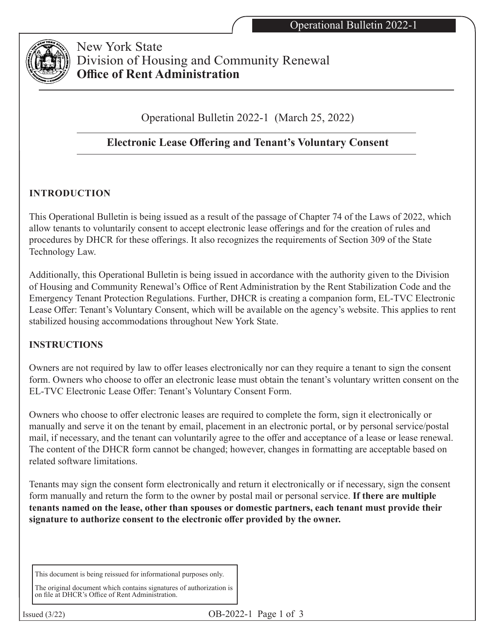

New York State Division of Housing and Community Renewal **Office of Rent Administration**

Operational Bulletin 2022-1 (March 25, 2022)

# **Electronic Lease Offering and Tenant's Voluntary Consent**

## **INTRODUCTION**

This Operational Bulletin is being issued as a result of the passage of Chapter 74 of the Laws of 2022, which allow tenants to voluntarily consent to accept electronic lease offerings and for the creation of rules and procedures by DHCR for these offerings. It also recognizes the requirements of Section 309 of the State Technology Law.

Additionally, this Operational Bulletin is being issued in accordance with the authority given to the Division of Housing and Community Renewal's Office of Rent Administration by the Rent Stabilization Code and the Emergency Tenant Protection Regulations. Further, DHCR is creating a companion form, EL-TVC Electronic Lease Offer: Tenant's Voluntary Consent, which will be available on the agency's website. This applies to rent stabilized housing accommodations throughout New York State.

### **INSTRUCTIONS**

Owners are not required by law to offer leases electronically nor can they require a tenant to sign the consent form. Owners who choose to offer an electronic lease must obtain the tenant's voluntary written consent on the EL-TVC Electronic Lease Offer: Tenant's Voluntary Consent Form.

Owners who choose to offer electronic leases are required to complete the form, sign it electronically or manually and serve it on the tenant by email, placement in an electronic portal, or by personal service/postal mail, if necessary, and the tenant can voluntarily agree to the offer and acceptance of a lease or lease renewal. The content of the DHCR form cannot be changed; however, changes in formatting are acceptable based on related software limitations.

Tenants may sign the consent form electronically and return it electronically or if necessary, sign the consent form manually and return the form to the owner by postal mail or personal service. **If there are multiple tenants named on the lease, other than spouses or domestic partners, each tenant must provide their signature to authorize consent to the electronic offer provided by the owner.**

This document is being reissued for informational purposes only.

The original document which contains signatures of authorization is on file at DHCR's Office of Rent Administration.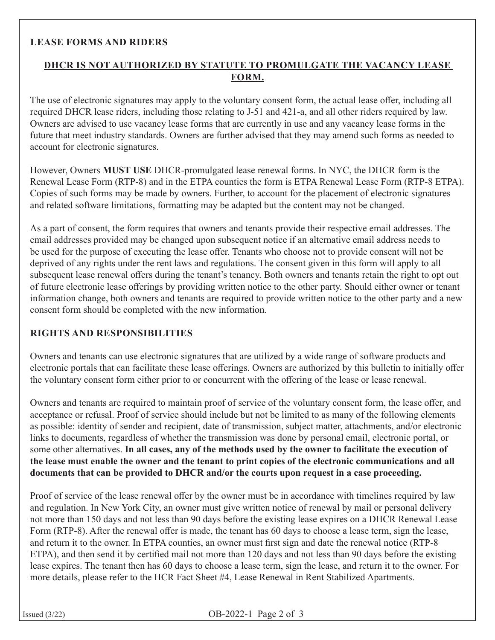#### **LEASE FORMS AND RIDERS**

### **DHCR IS NOT AUTHORIZED BY STATUTE TO PROMULGATE THE VACANCY LEASE FORM.**

The use of electronic signatures may apply to the voluntary consent form, the actual lease offer, including all required DHCR lease riders, including those relating to J-51 and 421-a, and all other riders required by law. Owners are advised to use vacancy lease forms that are currently in use and any vacancy lease forms in the future that meet industry standards. Owners are further advised that they may amend such forms as needed to account for electronic signatures.

However, Owners **MUST USE** DHCR-promulgated lease renewal forms. In NYC, the DHCR form is the Renewal Lease Form (RTP-8) and in the ETPA counties the form is ETPA Renewal Lease Form (RTP-8 ETPA). Copies of such forms may be made by owners. Further, to account for the placement of electronic signatures and related software limitations, formatting may be adapted but the content may not be changed.

As a part of consent, the form requires that owners and tenants provide their respective email addresses. The email addresses provided may be changed upon subsequent notice if an alternative email address needs to be used for the purpose of executing the lease offer. Tenants who choose not to provide consent will not be deprived of any rights under the rent laws and regulations. The consent given in this form will apply to all subsequent lease renewal offers during the tenant's tenancy. Both owners and tenants retain the right to opt out of future electronic lease offerings by providing written notice to the other party. Should either owner or tenant information change, both owners and tenants are required to provide written notice to the other party and a new consent form should be completed with the new information.

#### **RIGHTS AND RESPONSIBILITIES**

Owners and tenants can use electronic signatures that are utilized by a wide range of software products and electronic portals that can facilitate these lease offerings. Owners are authorized by this bulletin to initially offer the voluntary consent form either prior to or concurrent with the offering of the lease or lease renewal.

Owners and tenants are required to maintain proof of service of the voluntary consent form, the lease offer, and acceptance or refusal. Proof of service should include but not be limited to as many of the following elements as possible: identity of sender and recipient, date of transmission, subject matter, attachments, and/or electronic links to documents, regardless of whether the transmission was done by personal email, electronic portal, or some other alternatives. **In all cases, any of the methods used by the owner to facilitate the execution of the lease must enable the owner and the tenant to print copies of the electronic communications and all documents that can be provided to DHCR and/or the courts upon request in a case proceeding.**

Proof of service of the lease renewal offer by the owner must be in accordance with timelines required by law and regulation. In New York City, an owner must give written notice of renewal by mail or personal delivery not more than 150 days and not less than 90 days before the existing lease expires on a DHCR Renewal Lease Form (RTP-8). After the renewal offer is made, the tenant has 60 days to choose a lease term, sign the lease, and return it to the owner. In ETPA counties, an owner must first sign and date the renewal notice (RTP-8 ETPA), and then send it by certified mail not more than 120 days and not less than 90 days before the existing lease expires. The tenant then has 60 days to choose a lease term, sign the lease, and return it to the owner. For more details, please refer to the HCR Fact Sheet #4, Lease Renewal in Rent Stabilized Apartments.